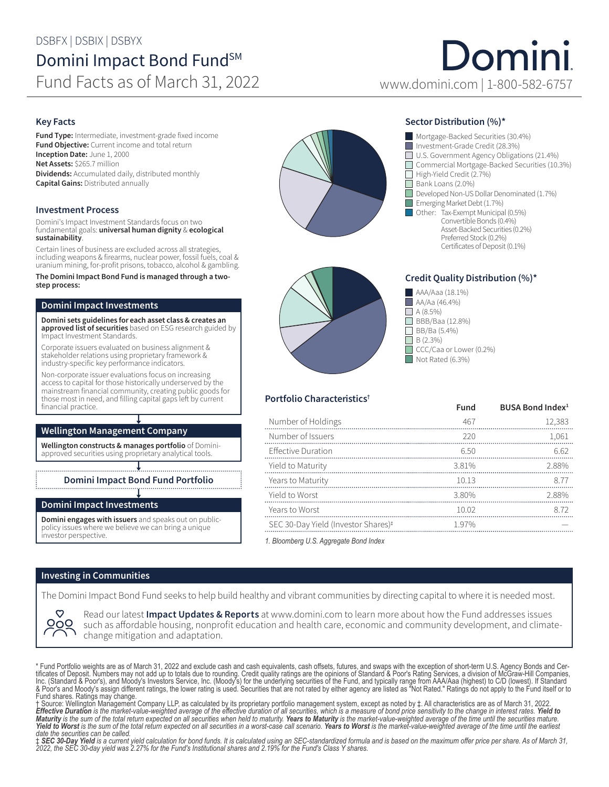### DSBFX | DSBIX | DSBYX

## Domini Impact Bond Fund<sup>SM</sup> Fund Facts as of March 31, 2022 www.domini.com | 1-800-582-6757

# Domini

#### Key Facts

Fund Type: Intermediate, investment-grade fixed income **Fund Objective:** Current income and total return Inception Date: June 1, 2000 Net Assets: \$265.7 million Dividends: Accumulated daily, distributed monthly Capital Gains: Distributed annually

#### Investment Process

Domini's Impact Investment Standards focus on two fundamental goals: universal human dignity & ecological sustainability.

Certain lines of business are excluded across all strategies, including weapons & firearms, nuclear power, fossil fuels, coal & uranium mining, for-profit prisons, tobacco, alcohol & gambling.

#### The Domini Impact Bond Fund is managed through a twostep process:

#### Domini Impact Investments

Domini sets guidelines for each asset class & creates an approved list of securities based on ESG research guided by Impact Investment Standards.

Corporate issuers evaluated on business alignment & stakeholder relations using proprietary framework & industry-specific key performance indicators.

Non-corporate issuer evaluations focus on increasing access to capital for those historically underserved by the mainstream financial community, creating public goods for those most in need, and filling capital gaps left by current financial practice.

#### Wellington Management Company

Wellington constructs & manages portfolio of Dominiapproved securities using proprietary analytical tools.

Domini Impact Bond Fund Portfolio

#### Domini Impact Investments

Domini engages with issuers and speaks out on publicpolicy issues where we believe we can bring a unique investor perspective.



#### Sector Distribution (%)\*





Portfolio Characteristics†

#### Credit Quality Distribution (%)\*



|                                                 | Fund | BUSA Bond Index <sup>1</sup> |
|-------------------------------------------------|------|------------------------------|
| Number of Holdings                              | 467  | 12,383                       |
| Number of Issuers                               | 220  | 1,061                        |
| <b>Effective Duration</b>                       | 6.50 | 6.62                         |
| Yield to Maturity                               | 381% | 288%                         |
| Years to Maturity                               | 1013 | 8.77                         |
| Yield to Worst                                  | 380% | 288%                         |
| Years to Worst                                  | 1002 | 8.72                         |
| SEC 30-Day Yield (Investor Shares) <sup>#</sup> | 197% |                              |

*1. Bloomberg U.S. Aggregate Bond Index*

#### Investing in Communities

The Domini Impact Bond Fund seeks to help build healthy and vibrant communities by directing capital to where it is needed most.



Read our latest **Impact Updates & Reports** at www.domini.com to learn more about how the Fund addresses issues such as affordable housing, nonprofit education and health care, economic and community development, and climatechange mitigation and adaptation.

\* Fund Portfolio weights are as of March 31, 2022 and exclude cash and cash equivalents, cash offsets, futures, and swaps with the exception of short-term U.S. Agency Bonds and Cer-<br>tificates of Deposit. Numbers may not ad Inc. (Standard & Poor's), and Moody's Investors Service, Inc. (Moody's) for the underlying securities of the Fund, and typically range from AAA/Aaa (highest) to C/D (lowest). If Standard<br>& Poor's and Moody's assign differe

*Yield to Worst is the sum of the total return expected on all securities in a worst-case call scenario. Years to Worst is the market-value-weighted average of the time until the earliest date the securities can be called.*

‡ **SEC 30-Day Yield** is a current yield calculation for bond funds. It is calculated using an SEC-standardized formula and is based on the maximum offer price per share. As of March 31,<br>2022, the SEC 30-day yield was 2.27%